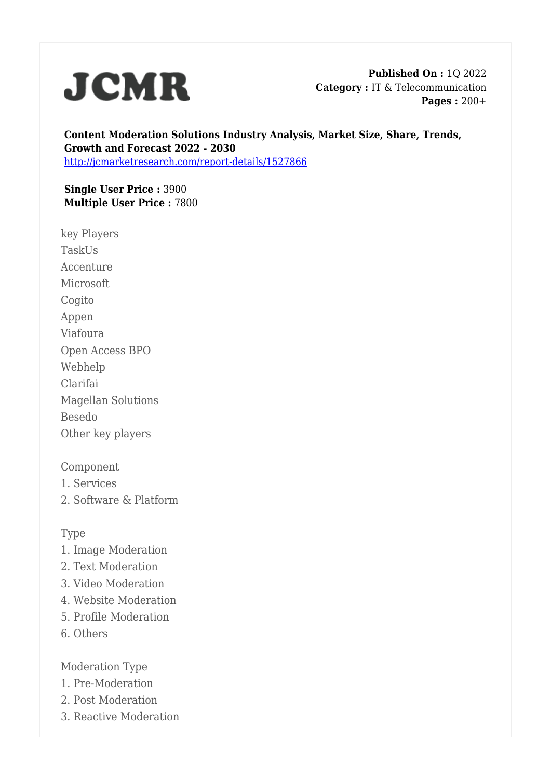

**Published On :** 1Q 2022 **Category :** IT & Telecommunication **Pages :** 200+

**Content Moderation Solutions Industry Analysis, Market Size, Share, Trends, Growth and Forecast 2022 - 2030** <http://jcmarketresearch.com/report-details/1527866>

**Single User Price :** 3900 **Multiple User Price :** 7800

key Players TaskUs Accenture Microsoft Cogito Appen Viafoura Open Access BPO Webhelp Clarifai Magellan Solutions Besedo Other key players

Component

1. Services

2. Software & Platform

## Type

- 1. Image Moderation
- 2. Text Moderation
- 3. Video Moderation
- 4. Website Moderation
- 5. Profile Moderation
- 6. Others

Moderation Type

- 1. Pre-Moderation
- 2. Post Moderation
- 3. Reactive Moderation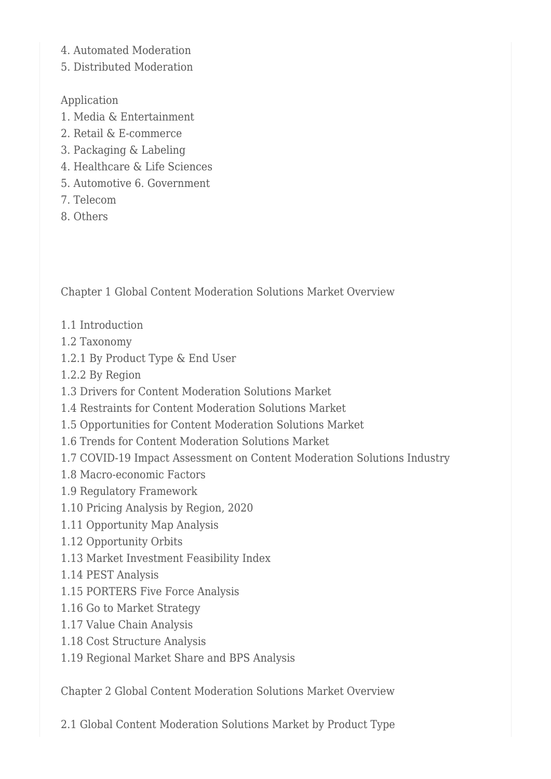- 4. Automated Moderation
- 5. Distributed Moderation

Application

- 1. Media & Entertainment
- 2. Retail & E-commerce
- 3. Packaging & Labeling
- 4. Healthcare & Life Sciences
- 5. Automotive 6. Government
- 7. Telecom
- 8. Others

Chapter 1 Global Content Moderation Solutions Market Overview

- 1.1 Introduction
- 1.2 Taxonomy
- 1.2.1 By Product Type & End User
- 1.2.2 By Region
- 1.3 Drivers for Content Moderation Solutions Market
- 1.4 Restraints for Content Moderation Solutions Market
- 1.5 Opportunities for Content Moderation Solutions Market
- 1.6 Trends for Content Moderation Solutions Market
- 1.7 COVID-19 Impact Assessment on Content Moderation Solutions Industry
- 1.8 Macro-economic Factors
- 1.9 Regulatory Framework
- 1.10 Pricing Analysis by Region, 2020
- 1.11 Opportunity Map Analysis
- 1.12 Opportunity Orbits
- 1.13 Market Investment Feasibility Index
- 1.14 PEST Analysis
- 1.15 PORTERS Five Force Analysis
- 1.16 Go to Market Strategy
- 1.17 Value Chain Analysis
- 1.18 Cost Structure Analysis
- 1.19 Regional Market Share and BPS Analysis

Chapter 2 Global Content Moderation Solutions Market Overview

2.1 Global Content Moderation Solutions Market by Product Type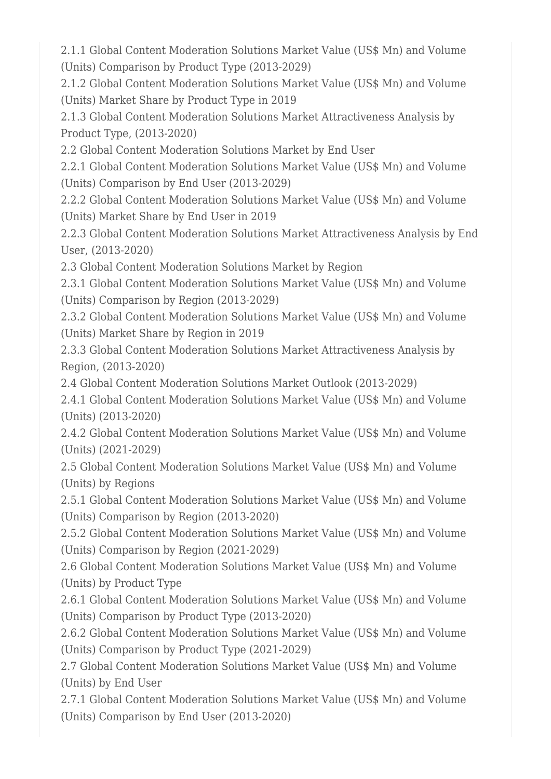2.1.1 Global Content Moderation Solutions Market Value (US\$ Mn) and Volume (Units) Comparison by Product Type (2013-2029)

2.1.2 Global Content Moderation Solutions Market Value (US\$ Mn) and Volume (Units) Market Share by Product Type in 2019

2.1.3 Global Content Moderation Solutions Market Attractiveness Analysis by Product Type, (2013-2020)

2.2 Global Content Moderation Solutions Market by End User

2.2.1 Global Content Moderation Solutions Market Value (US\$ Mn) and Volume (Units) Comparison by End User (2013-2029)

2.2.2 Global Content Moderation Solutions Market Value (US\$ Mn) and Volume (Units) Market Share by End User in 2019

2.2.3 Global Content Moderation Solutions Market Attractiveness Analysis by End User, (2013-2020)

2.3 Global Content Moderation Solutions Market by Region

2.3.1 Global Content Moderation Solutions Market Value (US\$ Mn) and Volume (Units) Comparison by Region (2013-2029)

2.3.2 Global Content Moderation Solutions Market Value (US\$ Mn) and Volume (Units) Market Share by Region in 2019

2.3.3 Global Content Moderation Solutions Market Attractiveness Analysis by Region, (2013-2020)

2.4 Global Content Moderation Solutions Market Outlook (2013-2029)

2.4.1 Global Content Moderation Solutions Market Value (US\$ Mn) and Volume (Units) (2013-2020)

2.4.2 Global Content Moderation Solutions Market Value (US\$ Mn) and Volume (Units) (2021-2029)

2.5 Global Content Moderation Solutions Market Value (US\$ Mn) and Volume (Units) by Regions

2.5.1 Global Content Moderation Solutions Market Value (US\$ Mn) and Volume (Units) Comparison by Region (2013-2020)

2.5.2 Global Content Moderation Solutions Market Value (US\$ Mn) and Volume (Units) Comparison by Region (2021-2029)

2.6 Global Content Moderation Solutions Market Value (US\$ Mn) and Volume (Units) by Product Type

2.6.1 Global Content Moderation Solutions Market Value (US\$ Mn) and Volume (Units) Comparison by Product Type (2013-2020)

2.6.2 Global Content Moderation Solutions Market Value (US\$ Mn) and Volume (Units) Comparison by Product Type (2021-2029)

2.7 Global Content Moderation Solutions Market Value (US\$ Mn) and Volume (Units) by End User

2.7.1 Global Content Moderation Solutions Market Value (US\$ Mn) and Volume (Units) Comparison by End User (2013-2020)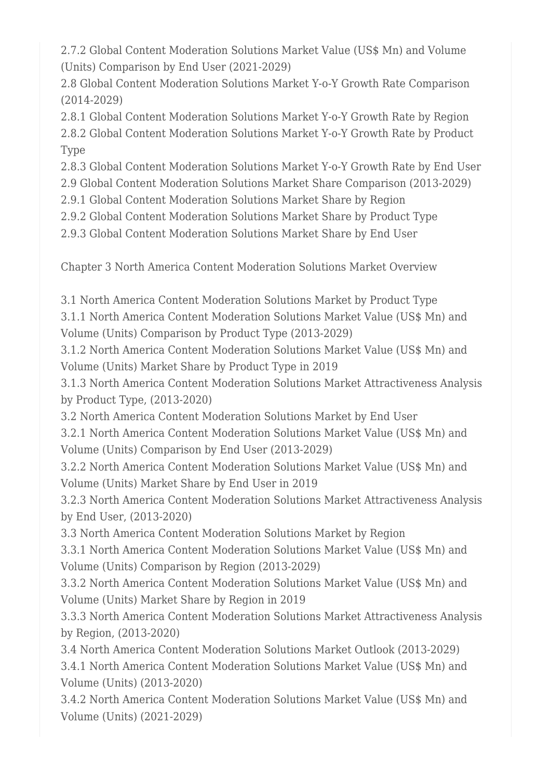2.7.2 Global Content Moderation Solutions Market Value (US\$ Mn) and Volume (Units) Comparison by End User (2021-2029)

2.8 Global Content Moderation Solutions Market Y-o-Y Growth Rate Comparison (2014-2029)

2.8.1 Global Content Moderation Solutions Market Y-o-Y Growth Rate by Region 2.8.2 Global Content Moderation Solutions Market Y-o-Y Growth Rate by Product Type

2.8.3 Global Content Moderation Solutions Market Y-o-Y Growth Rate by End User

2.9 Global Content Moderation Solutions Market Share Comparison (2013-2029)

2.9.1 Global Content Moderation Solutions Market Share by Region

2.9.2 Global Content Moderation Solutions Market Share by Product Type

2.9.3 Global Content Moderation Solutions Market Share by End User

Chapter 3 North America Content Moderation Solutions Market Overview

3.1 North America Content Moderation Solutions Market by Product Type

3.1.1 North America Content Moderation Solutions Market Value (US\$ Mn) and Volume (Units) Comparison by Product Type (2013-2029)

3.1.2 North America Content Moderation Solutions Market Value (US\$ Mn) and Volume (Units) Market Share by Product Type in 2019

3.1.3 North America Content Moderation Solutions Market Attractiveness Analysis by Product Type, (2013-2020)

3.2 North America Content Moderation Solutions Market by End User

3.2.1 North America Content Moderation Solutions Market Value (US\$ Mn) and Volume (Units) Comparison by End User (2013-2029)

3.2.2 North America Content Moderation Solutions Market Value (US\$ Mn) and Volume (Units) Market Share by End User in 2019

3.2.3 North America Content Moderation Solutions Market Attractiveness Analysis by End User, (2013-2020)

3.3 North America Content Moderation Solutions Market by Region

3.3.1 North America Content Moderation Solutions Market Value (US\$ Mn) and Volume (Units) Comparison by Region (2013-2029)

3.3.2 North America Content Moderation Solutions Market Value (US\$ Mn) and Volume (Units) Market Share by Region in 2019

3.3.3 North America Content Moderation Solutions Market Attractiveness Analysis by Region, (2013-2020)

3.4 North America Content Moderation Solutions Market Outlook (2013-2029) 3.4.1 North America Content Moderation Solutions Market Value (US\$ Mn) and Volume (Units) (2013-2020)

3.4.2 North America Content Moderation Solutions Market Value (US\$ Mn) and Volume (Units) (2021-2029)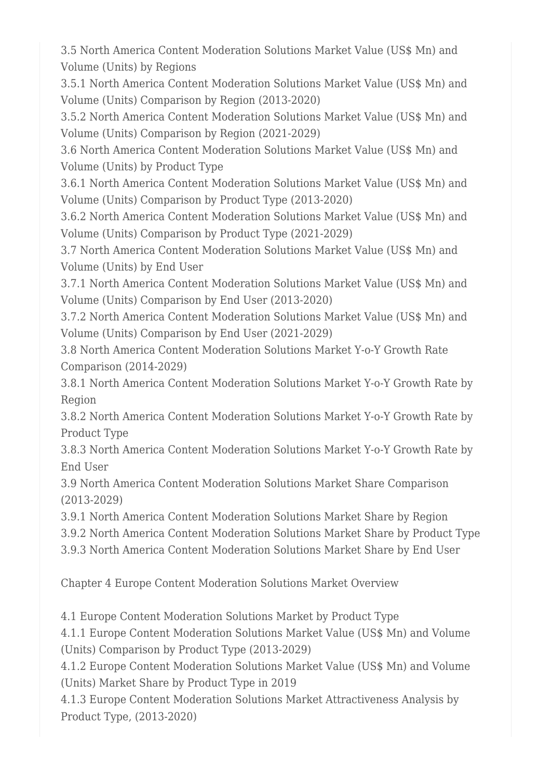3.5 North America Content Moderation Solutions Market Value (US\$ Mn) and Volume (Units) by Regions

3.5.1 North America Content Moderation Solutions Market Value (US\$ Mn) and Volume (Units) Comparison by Region (2013-2020)

3.5.2 North America Content Moderation Solutions Market Value (US\$ Mn) and Volume (Units) Comparison by Region (2021-2029)

3.6 North America Content Moderation Solutions Market Value (US\$ Mn) and Volume (Units) by Product Type

3.6.1 North America Content Moderation Solutions Market Value (US\$ Mn) and Volume (Units) Comparison by Product Type (2013-2020)

3.6.2 North America Content Moderation Solutions Market Value (US\$ Mn) and Volume (Units) Comparison by Product Type (2021-2029)

3.7 North America Content Moderation Solutions Market Value (US\$ Mn) and Volume (Units) by End User

3.7.1 North America Content Moderation Solutions Market Value (US\$ Mn) and Volume (Units) Comparison by End User (2013-2020)

3.7.2 North America Content Moderation Solutions Market Value (US\$ Mn) and Volume (Units) Comparison by End User (2021-2029)

3.8 North America Content Moderation Solutions Market Y-o-Y Growth Rate Comparison (2014-2029)

3.8.1 North America Content Moderation Solutions Market Y-o-Y Growth Rate by Region

3.8.2 North America Content Moderation Solutions Market Y-o-Y Growth Rate by Product Type

3.8.3 North America Content Moderation Solutions Market Y-o-Y Growth Rate by End User

3.9 North America Content Moderation Solutions Market Share Comparison (2013-2029)

3.9.1 North America Content Moderation Solutions Market Share by Region

3.9.2 North America Content Moderation Solutions Market Share by Product Type

3.9.3 North America Content Moderation Solutions Market Share by End User

Chapter 4 Europe Content Moderation Solutions Market Overview

4.1 Europe Content Moderation Solutions Market by Product Type

4.1.1 Europe Content Moderation Solutions Market Value (US\$ Mn) and Volume (Units) Comparison by Product Type (2013-2029)

4.1.2 Europe Content Moderation Solutions Market Value (US\$ Mn) and Volume (Units) Market Share by Product Type in 2019

4.1.3 Europe Content Moderation Solutions Market Attractiveness Analysis by Product Type, (2013-2020)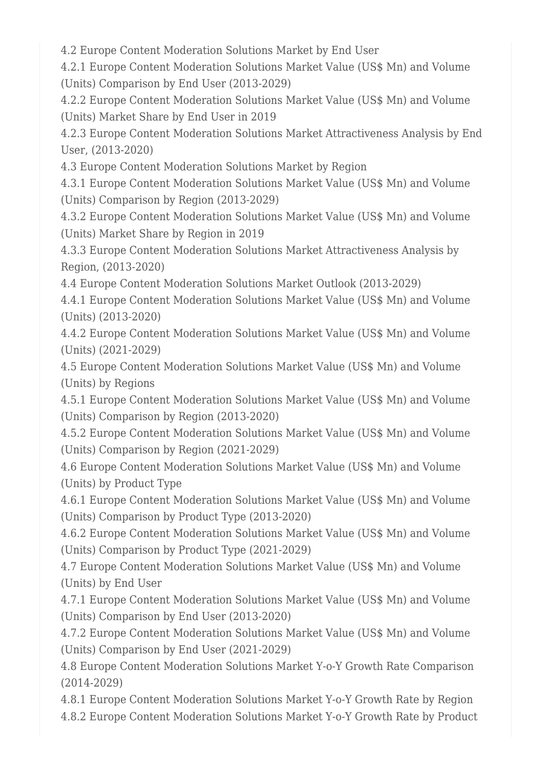4.2 Europe Content Moderation Solutions Market by End User

4.2.1 Europe Content Moderation Solutions Market Value (US\$ Mn) and Volume (Units) Comparison by End User (2013-2029)

4.2.2 Europe Content Moderation Solutions Market Value (US\$ Mn) and Volume (Units) Market Share by End User in 2019

4.2.3 Europe Content Moderation Solutions Market Attractiveness Analysis by End User, (2013-2020)

4.3 Europe Content Moderation Solutions Market by Region

4.3.1 Europe Content Moderation Solutions Market Value (US\$ Mn) and Volume (Units) Comparison by Region (2013-2029)

4.3.2 Europe Content Moderation Solutions Market Value (US\$ Mn) and Volume (Units) Market Share by Region in 2019

4.3.3 Europe Content Moderation Solutions Market Attractiveness Analysis by Region, (2013-2020)

4.4 Europe Content Moderation Solutions Market Outlook (2013-2029)

4.4.1 Europe Content Moderation Solutions Market Value (US\$ Mn) and Volume (Units) (2013-2020)

4.4.2 Europe Content Moderation Solutions Market Value (US\$ Mn) and Volume (Units) (2021-2029)

4.5 Europe Content Moderation Solutions Market Value (US\$ Mn) and Volume (Units) by Regions

4.5.1 Europe Content Moderation Solutions Market Value (US\$ Mn) and Volume (Units) Comparison by Region (2013-2020)

4.5.2 Europe Content Moderation Solutions Market Value (US\$ Mn) and Volume (Units) Comparison by Region (2021-2029)

4.6 Europe Content Moderation Solutions Market Value (US\$ Mn) and Volume (Units) by Product Type

4.6.1 Europe Content Moderation Solutions Market Value (US\$ Mn) and Volume (Units) Comparison by Product Type (2013-2020)

4.6.2 Europe Content Moderation Solutions Market Value (US\$ Mn) and Volume (Units) Comparison by Product Type (2021-2029)

4.7 Europe Content Moderation Solutions Market Value (US\$ Mn) and Volume (Units) by End User

4.7.1 Europe Content Moderation Solutions Market Value (US\$ Mn) and Volume (Units) Comparison by End User (2013-2020)

4.7.2 Europe Content Moderation Solutions Market Value (US\$ Mn) and Volume (Units) Comparison by End User (2021-2029)

4.8 Europe Content Moderation Solutions Market Y-o-Y Growth Rate Comparison (2014-2029)

4.8.1 Europe Content Moderation Solutions Market Y-o-Y Growth Rate by Region 4.8.2 Europe Content Moderation Solutions Market Y-o-Y Growth Rate by Product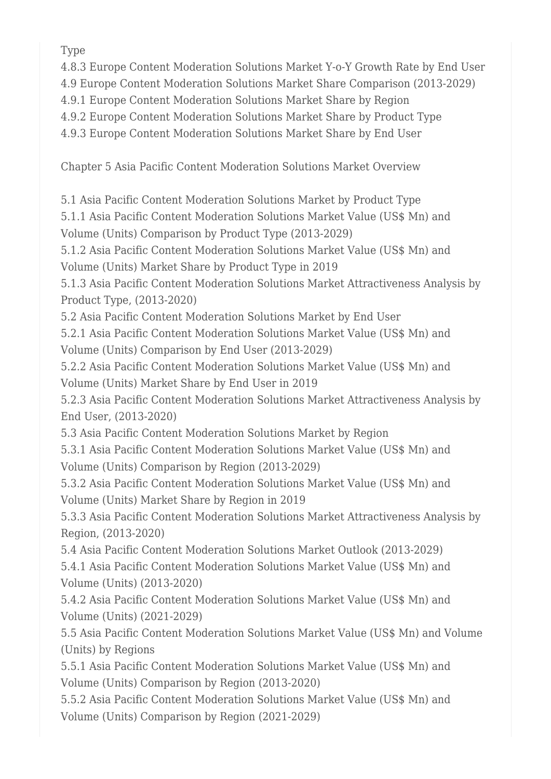Type

4.8.3 Europe Content Moderation Solutions Market Y-o-Y Growth Rate by End User

4.9 Europe Content Moderation Solutions Market Share Comparison (2013-2029)

4.9.1 Europe Content Moderation Solutions Market Share by Region

4.9.2 Europe Content Moderation Solutions Market Share by Product Type

4.9.3 Europe Content Moderation Solutions Market Share by End User

Chapter 5 Asia Pacific Content Moderation Solutions Market Overview

5.1 Asia Pacific Content Moderation Solutions Market by Product Type

5.1.1 Asia Pacific Content Moderation Solutions Market Value (US\$ Mn) and Volume (Units) Comparison by Product Type (2013-2029)

5.1.2 Asia Pacific Content Moderation Solutions Market Value (US\$ Mn) and Volume (Units) Market Share by Product Type in 2019

5.1.3 Asia Pacific Content Moderation Solutions Market Attractiveness Analysis by Product Type, (2013-2020)

5.2 Asia Pacific Content Moderation Solutions Market by End User

5.2.1 Asia Pacific Content Moderation Solutions Market Value (US\$ Mn) and Volume (Units) Comparison by End User (2013-2029)

5.2.2 Asia Pacific Content Moderation Solutions Market Value (US\$ Mn) and Volume (Units) Market Share by End User in 2019

5.2.3 Asia Pacific Content Moderation Solutions Market Attractiveness Analysis by End User, (2013-2020)

5.3 Asia Pacific Content Moderation Solutions Market by Region

5.3.1 Asia Pacific Content Moderation Solutions Market Value (US\$ Mn) and Volume (Units) Comparison by Region (2013-2029)

5.3.2 Asia Pacific Content Moderation Solutions Market Value (US\$ Mn) and Volume (Units) Market Share by Region in 2019

5.3.3 Asia Pacific Content Moderation Solutions Market Attractiveness Analysis by Region, (2013-2020)

5.4 Asia Pacific Content Moderation Solutions Market Outlook (2013-2029) 5.4.1 Asia Pacific Content Moderation Solutions Market Value (US\$ Mn) and Volume (Units) (2013-2020)

5.4.2 Asia Pacific Content Moderation Solutions Market Value (US\$ Mn) and Volume (Units) (2021-2029)

5.5 Asia Pacific Content Moderation Solutions Market Value (US\$ Mn) and Volume (Units) by Regions

5.5.1 Asia Pacific Content Moderation Solutions Market Value (US\$ Mn) and Volume (Units) Comparison by Region (2013-2020)

5.5.2 Asia Pacific Content Moderation Solutions Market Value (US\$ Mn) and Volume (Units) Comparison by Region (2021-2029)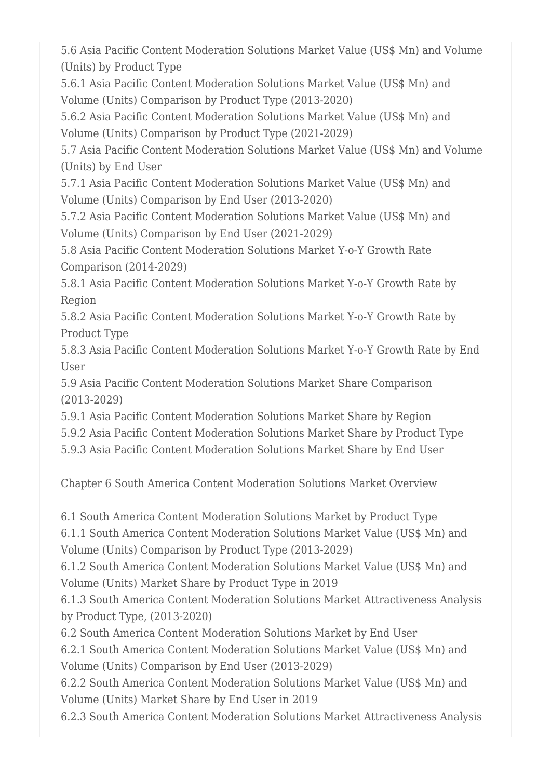5.6 Asia Pacific Content Moderation Solutions Market Value (US\$ Mn) and Volume (Units) by Product Type

5.6.1 Asia Pacific Content Moderation Solutions Market Value (US\$ Mn) and Volume (Units) Comparison by Product Type (2013-2020)

5.6.2 Asia Pacific Content Moderation Solutions Market Value (US\$ Mn) and Volume (Units) Comparison by Product Type (2021-2029)

5.7 Asia Pacific Content Moderation Solutions Market Value (US\$ Mn) and Volume (Units) by End User

5.7.1 Asia Pacific Content Moderation Solutions Market Value (US\$ Mn) and Volume (Units) Comparison by End User (2013-2020)

5.7.2 Asia Pacific Content Moderation Solutions Market Value (US\$ Mn) and Volume (Units) Comparison by End User (2021-2029)

5.8 Asia Pacific Content Moderation Solutions Market Y-o-Y Growth Rate Comparison (2014-2029)

5.8.1 Asia Pacific Content Moderation Solutions Market Y-o-Y Growth Rate by Region

5.8.2 Asia Pacific Content Moderation Solutions Market Y-o-Y Growth Rate by Product Type

5.8.3 Asia Pacific Content Moderation Solutions Market Y-o-Y Growth Rate by End User

5.9 Asia Pacific Content Moderation Solutions Market Share Comparison (2013-2029)

5.9.1 Asia Pacific Content Moderation Solutions Market Share by Region

5.9.2 Asia Pacific Content Moderation Solutions Market Share by Product Type

5.9.3 Asia Pacific Content Moderation Solutions Market Share by End User

Chapter 6 South America Content Moderation Solutions Market Overview

6.1 South America Content Moderation Solutions Market by Product Type

6.1.1 South America Content Moderation Solutions Market Value (US\$ Mn) and Volume (Units) Comparison by Product Type (2013-2029)

6.1.2 South America Content Moderation Solutions Market Value (US\$ Mn) and Volume (Units) Market Share by Product Type in 2019

6.1.3 South America Content Moderation Solutions Market Attractiveness Analysis by Product Type, (2013-2020)

6.2 South America Content Moderation Solutions Market by End User

6.2.1 South America Content Moderation Solutions Market Value (US\$ Mn) and Volume (Units) Comparison by End User (2013-2029)

6.2.2 South America Content Moderation Solutions Market Value (US\$ Mn) and Volume (Units) Market Share by End User in 2019

6.2.3 South America Content Moderation Solutions Market Attractiveness Analysis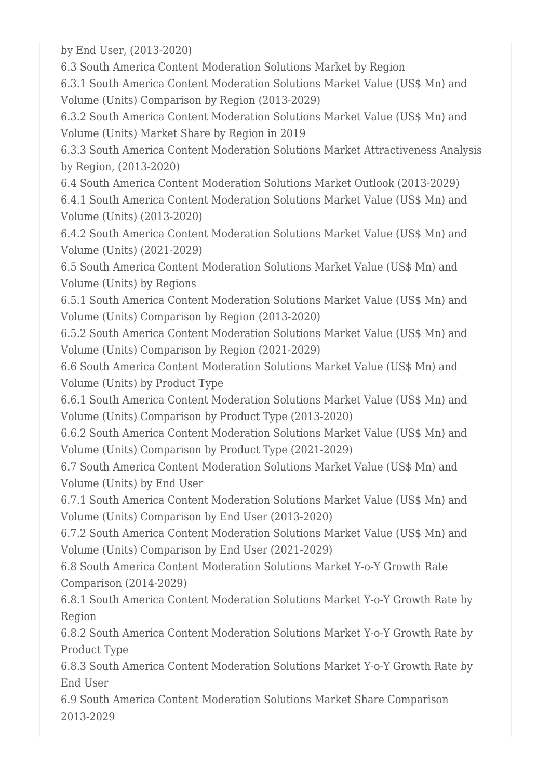by End User, (2013-2020)

6.3 South America Content Moderation Solutions Market by Region

6.3.1 South America Content Moderation Solutions Market Value (US\$ Mn) and Volume (Units) Comparison by Region (2013-2029)

6.3.2 South America Content Moderation Solutions Market Value (US\$ Mn) and Volume (Units) Market Share by Region in 2019

6.3.3 South America Content Moderation Solutions Market Attractiveness Analysis by Region, (2013-2020)

6.4 South America Content Moderation Solutions Market Outlook (2013-2029) 6.4.1 South America Content Moderation Solutions Market Value (US\$ Mn) and Volume (Units) (2013-2020)

6.4.2 South America Content Moderation Solutions Market Value (US\$ Mn) and Volume (Units) (2021-2029)

6.5 South America Content Moderation Solutions Market Value (US\$ Mn) and Volume (Units) by Regions

6.5.1 South America Content Moderation Solutions Market Value (US\$ Mn) and Volume (Units) Comparison by Region (2013-2020)

6.5.2 South America Content Moderation Solutions Market Value (US\$ Mn) and Volume (Units) Comparison by Region (2021-2029)

6.6 South America Content Moderation Solutions Market Value (US\$ Mn) and Volume (Units) by Product Type

6.6.1 South America Content Moderation Solutions Market Value (US\$ Mn) and Volume (Units) Comparison by Product Type (2013-2020)

6.6.2 South America Content Moderation Solutions Market Value (US\$ Mn) and Volume (Units) Comparison by Product Type (2021-2029)

6.7 South America Content Moderation Solutions Market Value (US\$ Mn) and Volume (Units) by End User

6.7.1 South America Content Moderation Solutions Market Value (US\$ Mn) and Volume (Units) Comparison by End User (2013-2020)

6.7.2 South America Content Moderation Solutions Market Value (US\$ Mn) and Volume (Units) Comparison by End User (2021-2029)

6.8 South America Content Moderation Solutions Market Y-o-Y Growth Rate Comparison (2014-2029)

6.8.1 South America Content Moderation Solutions Market Y-o-Y Growth Rate by Region

6.8.2 South America Content Moderation Solutions Market Y-o-Y Growth Rate by Product Type

6.8.3 South America Content Moderation Solutions Market Y-o-Y Growth Rate by End User

6.9 South America Content Moderation Solutions Market Share Comparison 2013-2029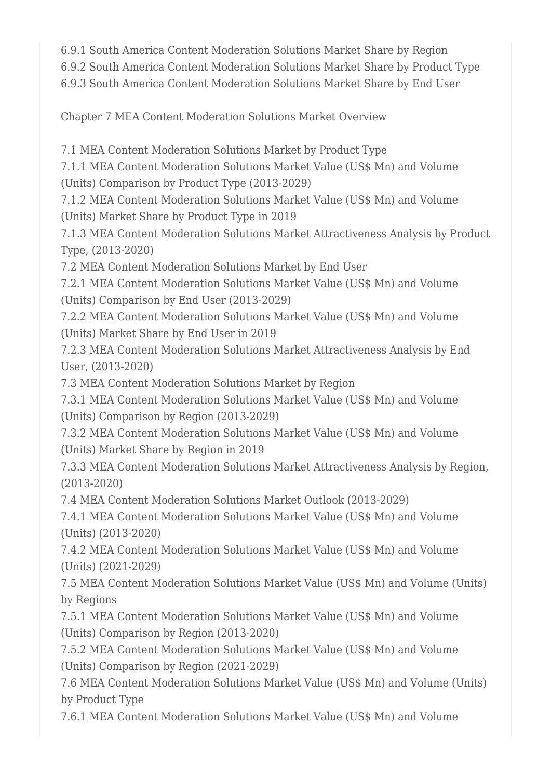6.9.1 South America Content Moderation Solutions Market Share by Region

6.9.2 South America Content Moderation Solutions Market Share by Product Type

6.9.3 South America Content Moderation Solutions Market Share by End User

Chapter 7 MEA Content Moderation Solutions Market Overview

7.1 MEA Content Moderation Solutions Market by Product Type

7.1.1 MEA Content Moderation Solutions Market Value (US\$ Mn) and Volume

(Units) Comparison by Product Type (2013-2029)

7.1.2 MEA Content Moderation Solutions Market Value (US\$ Mn) and Volume (Units) Market Share by Product Type in 2019

7.1.3 MEA Content Moderation Solutions Market Attractiveness Analysis by Product Type, (2013-2020)

7.2 MEA Content Moderation Solutions Market by End User

7.2.1 MEA Content Moderation Solutions Market Value (US\$ Mn) and Volume (Units) Comparison by End User (2013-2029)

7.2.2 MEA Content Moderation Solutions Market Value (US\$ Mn) and Volume (Units) Market Share by End User in 2019

7.2.3 MEA Content Moderation Solutions Market Attractiveness Analysis by End User, (2013-2020)

7.3 MEA Content Moderation Solutions Market by Region

7.3.1 MEA Content Moderation Solutions Market Value (US\$ Mn) and Volume (Units) Comparison by Region (2013-2029)

7.3.2 MEA Content Moderation Solutions Market Value (US\$ Mn) and Volume (Units) Market Share by Region in 2019

7.3.3 MEA Content Moderation Solutions Market Attractiveness Analysis by Region, (2013-2020)

7.4 MEA Content Moderation Solutions Market Outlook (2013-2029)

7.4.1 MEA Content Moderation Solutions Market Value (US\$ Mn) and Volume (Units) (2013-2020)

7.4.2 MEA Content Moderation Solutions Market Value (US\$ Mn) and Volume (Units) (2021-2029)

7.5 MEA Content Moderation Solutions Market Value (US\$ Mn) and Volume (Units) by Regions

7.5.1 MEA Content Moderation Solutions Market Value (US\$ Mn) and Volume (Units) Comparison by Region (2013-2020)

7.5.2 MEA Content Moderation Solutions Market Value (US\$ Mn) and Volume (Units) Comparison by Region (2021-2029)

7.6 MEA Content Moderation Solutions Market Value (US\$ Mn) and Volume (Units) by Product Type

7.6.1 MEA Content Moderation Solutions Market Value (US\$ Mn) and Volume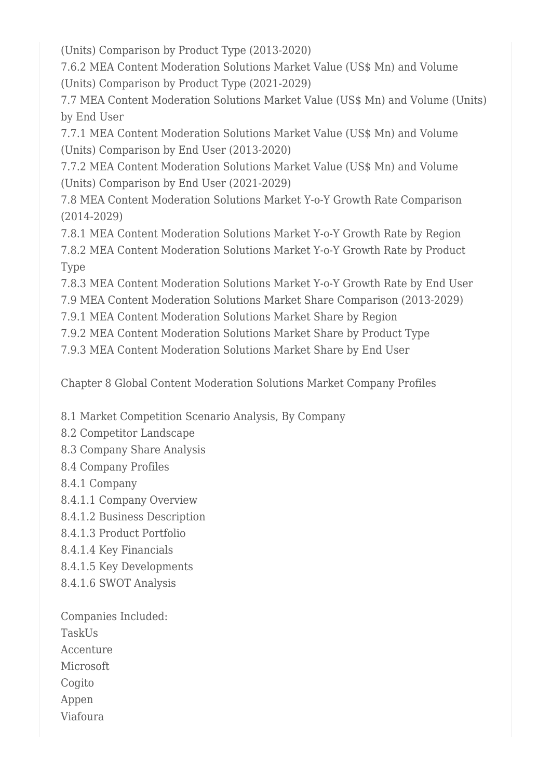(Units) Comparison by Product Type (2013-2020)

7.6.2 MEA Content Moderation Solutions Market Value (US\$ Mn) and Volume (Units) Comparison by Product Type (2021-2029)

7.7 MEA Content Moderation Solutions Market Value (US\$ Mn) and Volume (Units) by End User

7.7.1 MEA Content Moderation Solutions Market Value (US\$ Mn) and Volume (Units) Comparison by End User (2013-2020)

7.7.2 MEA Content Moderation Solutions Market Value (US\$ Mn) and Volume (Units) Comparison by End User (2021-2029)

7.8 MEA Content Moderation Solutions Market Y-o-Y Growth Rate Comparison (2014-2029)

7.8.1 MEA Content Moderation Solutions Market Y-o-Y Growth Rate by Region 7.8.2 MEA Content Moderation Solutions Market Y-o-Y Growth Rate by Product Type

7.8.3 MEA Content Moderation Solutions Market Y-o-Y Growth Rate by End User

7.9 MEA Content Moderation Solutions Market Share Comparison (2013-2029)

7.9.1 MEA Content Moderation Solutions Market Share by Region

7.9.2 MEA Content Moderation Solutions Market Share by Product Type

7.9.3 MEA Content Moderation Solutions Market Share by End User

Chapter 8 Global Content Moderation Solutions Market Company Profiles

8.1 Market Competition Scenario Analysis, By Company

- 8.2 Competitor Landscape
- 8.3 Company Share Analysis
- 8.4 Company Profiles
- 8.4.1 Company
- 8.4.1.1 Company Overview
- 8.4.1.2 Business Description
- 8.4.1.3 Product Portfolio
- 8.4.1.4 Key Financials
- 8.4.1.5 Key Developments
- 8.4.1.6 SWOT Analysis

Companies Included: **TaskUs** Accenture Microsoft Cogito Appen Viafoura